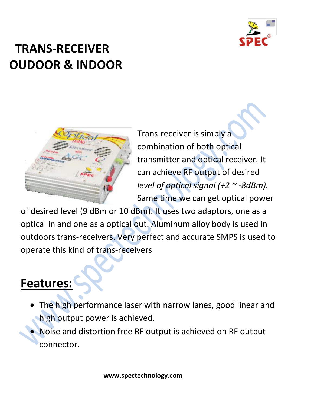

# **TRANS-RECEIVER OUDOOR & INDOOR**



Trans-receiver is simply a combination of both optical transmitter and optical receiver. It can achieve RF output of desired *level of optical signal (+2 ~ -8dBm).* Same time we can get optical power

of desired level (9 dBm or 10 dBm). It uses two adaptors, one as a optical in and one as a optical out. Aluminum alloy body is used in outdoors trans-receivers. Very perfect and accurate SMPS is used to operate this kind of trans-receivers

#### **Features:**

- The high performance laser with narrow lanes, good linear and high output power is achieved.
	- Noise and distortion free RF output is achieved on RF output connector.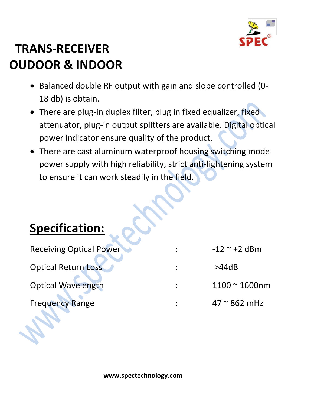

# **TRANS-RECEIVER OUDOOR & INDOOR**

- Balanced double RF output with gain and slope controlled (0- 18 db) is obtain.
- There are plug-in duplex filter, plug in fixed equalizer, fixed attenuator, plug-in output splitters are available. Digital optical power indicator ensure quality of the product.
- There are cast aluminum waterproof housing switching mode power supply with high reliability, strict anti-lightening system to ensure it can work steadily in the field.

| <b>Specification:</b> |
|-----------------------|
|-----------------------|

| Receiving Optical Power<br><b>Optical Return Loss</b><br><b>Optical Wavelength</b> | $-12$ ~ +2 dBm<br>>44dB<br>$1100 - 1600$ nm |                        |                      |
|------------------------------------------------------------------------------------|---------------------------------------------|------------------------|----------------------|
|                                                                                    |                                             | <b>Frequency Range</b> | $47 \approx 862$ mHz |